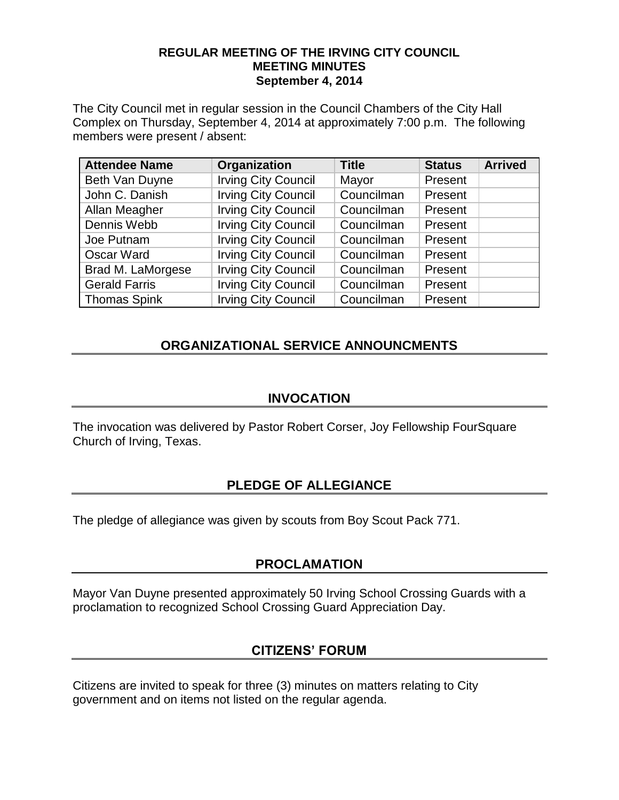#### **REGULAR MEETING OF THE IRVING CITY COUNCIL MEETING MINUTES September 4, 2014**

The City Council met in regular session in the Council Chambers of the City Hall Complex on Thursday, September 4, 2014 at approximately 7:00 p.m. The following members were present / absent:

| <b>Attendee Name</b> | Organization               | <b>Title</b> | <b>Status</b> | <b>Arrived</b> |
|----------------------|----------------------------|--------------|---------------|----------------|
| Beth Van Duyne       | <b>Irving City Council</b> | Mayor        | Present       |                |
| John C. Danish       | <b>Irving City Council</b> | Councilman   | Present       |                |
| Allan Meagher        | <b>Irving City Council</b> | Councilman   | Present       |                |
| Dennis Webb          | <b>Irving City Council</b> | Councilman   | Present       |                |
| Joe Putnam           | <b>Irving City Council</b> | Councilman   | Present       |                |
| Oscar Ward           | <b>Irving City Council</b> | Councilman   | Present       |                |
| Brad M. LaMorgese    | <b>Irving City Council</b> | Councilman   | Present       |                |
| <b>Gerald Farris</b> | <b>Irving City Council</b> | Councilman   | Present       |                |
| <b>Thomas Spink</b>  | <b>Irving City Council</b> | Councilman   | Present       |                |

# **ORGANIZATIONAL SERVICE ANNOUNCMENTS**

#### **INVOCATION**

The invocation was delivered by Pastor Robert Corser, Joy Fellowship FourSquare Church of Irving, Texas.

## **PLEDGE OF ALLEGIANCE**

The pledge of allegiance was given by scouts from Boy Scout Pack 771.

## **PROCLAMATION**

Mayor Van Duyne presented approximately 50 Irving School Crossing Guards with a proclamation to recognized School Crossing Guard Appreciation Day.

## **CITIZENS' FORUM**

Citizens are invited to speak for three (3) minutes on matters relating to City government and on items not listed on the regular agenda.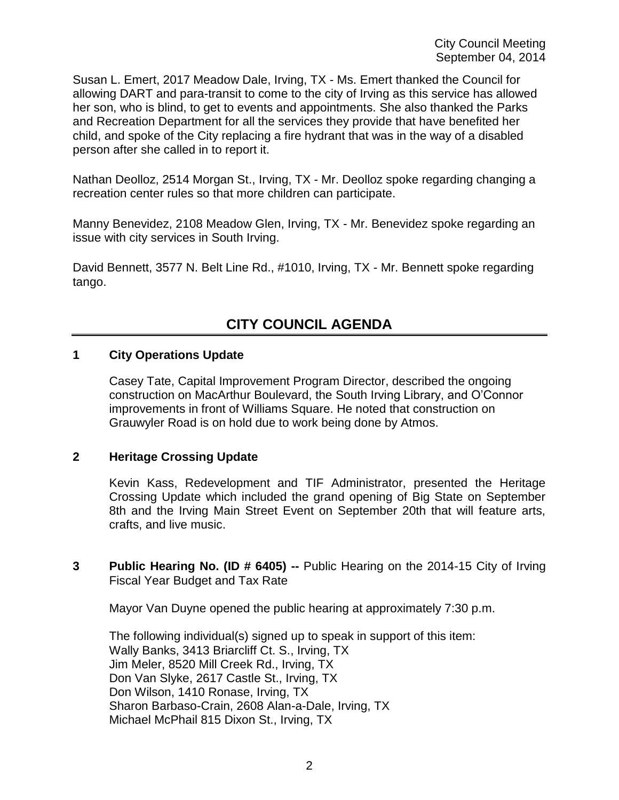Susan L. Emert, 2017 Meadow Dale, Irving, TX - Ms. Emert thanked the Council for allowing DART and para-transit to come to the city of Irving as this service has allowed her son, who is blind, to get to events and appointments. She also thanked the Parks and Recreation Department for all the services they provide that have benefited her child, and spoke of the City replacing a fire hydrant that was in the way of a disabled person after she called in to report it.

Nathan Deolloz, 2514 Morgan St., Irving, TX - Mr. Deolloz spoke regarding changing a recreation center rules so that more children can participate.

Manny Benevidez, 2108 Meadow Glen, Irving, TX - Mr. Benevidez spoke regarding an issue with city services in South Irving.

David Bennett, 3577 N. Belt Line Rd., #1010, Irving, TX - Mr. Bennett spoke regarding tango.

# **CITY COUNCIL AGENDA**

#### **1 City Operations Update**

Casey Tate, Capital Improvement Program Director, described the ongoing construction on MacArthur Boulevard, the South Irving Library, and O'Connor improvements in front of Williams Square. He noted that construction on Grauwyler Road is on hold due to work being done by Atmos.

#### **2 Heritage Crossing Update**

Kevin Kass, Redevelopment and TIF Administrator, presented the Heritage Crossing Update which included the grand opening of Big State on September 8th and the Irving Main Street Event on September 20th that will feature arts, crafts, and live music.

**3 Public Hearing No. (ID # 6405) --** Public Hearing on the 2014-15 City of Irving Fiscal Year Budget and Tax Rate

Mayor Van Duyne opened the public hearing at approximately 7:30 p.m.

The following individual(s) signed up to speak in support of this item: Wally Banks, 3413 Briarcliff Ct. S., Irving, TX Jim Meler, 8520 Mill Creek Rd., Irving, TX Don Van Slyke, 2617 Castle St., Irving, TX Don Wilson, 1410 Ronase, Irving, TX Sharon Barbaso-Crain, 2608 Alan-a-Dale, Irving, TX Michael McPhail 815 Dixon St., Irving, TX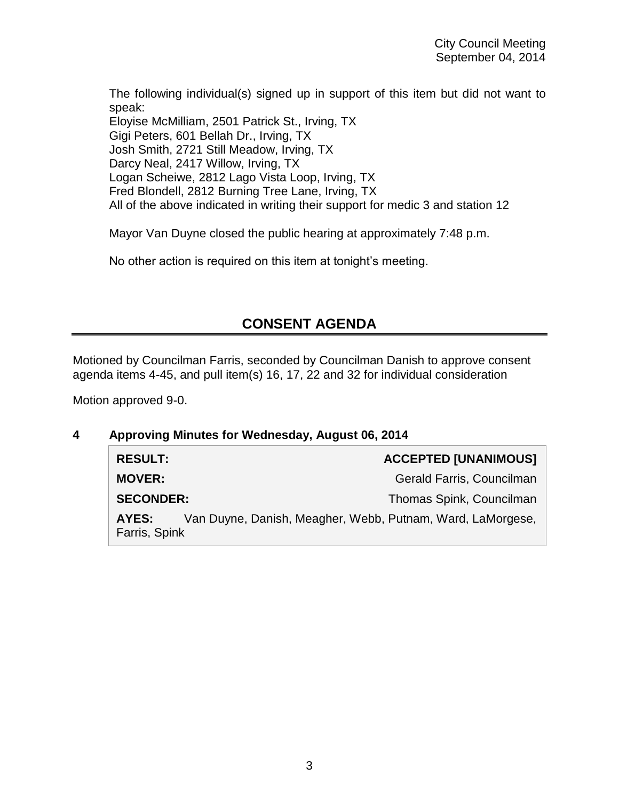The following individual(s) signed up in support of this item but did not want to speak: Eloyise McMilliam, 2501 Patrick St., Irving, TX Gigi Peters, 601 Bellah Dr., Irving, TX Josh Smith, 2721 Still Meadow, Irving, TX Darcy Neal, 2417 Willow, Irving, TX Logan Scheiwe, 2812 Lago Vista Loop, Irving, TX Fred Blondell, 2812 Burning Tree Lane, Irving, TX All of the above indicated in writing their support for medic 3 and station 12

Mayor Van Duyne closed the public hearing at approximately 7:48 p.m.

No other action is required on this item at tonight's meeting.

# **CONSENT AGENDA**

Motioned by Councilman Farris, seconded by Councilman Danish to approve consent agenda items 4-45, and pull item(s) 16, 17, 22 and 32 for individual consideration

Motion approved 9-0.

#### **4 Approving Minutes for Wednesday, August 06, 2014**

| <b>RESULT:</b>         |                                                            | <b>ACCEPTED [UNANIMOUS]</b> |
|------------------------|------------------------------------------------------------|-----------------------------|
| <b>MOVER:</b>          |                                                            | Gerald Farris, Councilman   |
| <b>SECONDER:</b>       |                                                            | Thomas Spink, Councilman    |
| AYES:<br>Farris, Spink | Van Duyne, Danish, Meagher, Webb, Putnam, Ward, LaMorgese, |                             |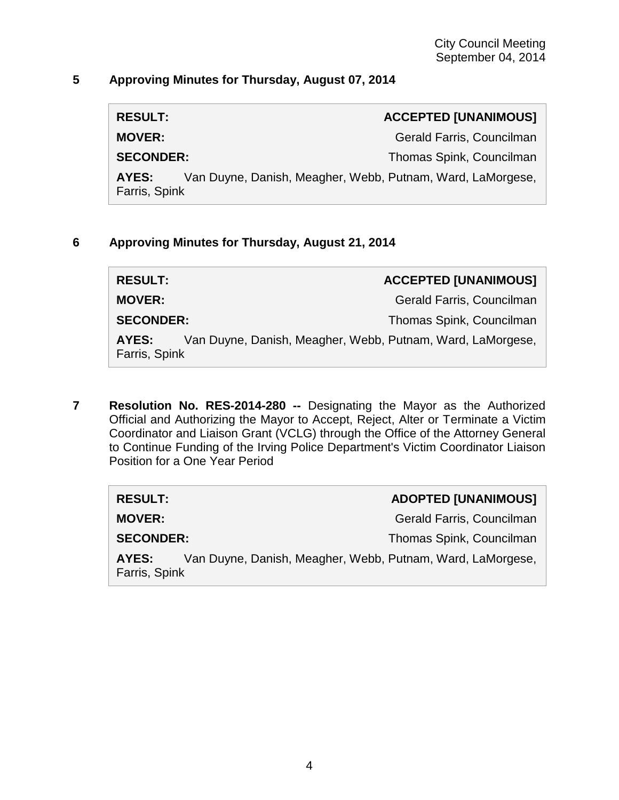#### **5 Approving Minutes for Thursday, August 07, 2014**

| <b>RESULT:</b>   | <b>ACCEPTED [UNANIMOUS]</b> |
|------------------|-----------------------------|
| <b>MOVER:</b>    | Gerald Farris, Councilman   |
| <b>SECONDER:</b> | Thomas Spink, Councilman    |

**AYES:** Van Duyne, Danish, Meagher, Webb, Putnam, Ward, LaMorgese, Farris, Spink

#### **6 Approving Minutes for Thursday, August 21, 2014**

| <b>RESULT:</b>         | <b>ACCEPTED [UNANIMOUS]</b>                                |
|------------------------|------------------------------------------------------------|
| <b>MOVER:</b>          | Gerald Farris, Councilman                                  |
| <b>SECONDER:</b>       | Thomas Spink, Councilman                                   |
| AYES:<br>Farris, Spink | Van Duyne, Danish, Meagher, Webb, Putnam, Ward, LaMorgese, |

**7 Resolution No. RES-2014-280 --** Designating the Mayor as the Authorized Official and Authorizing the Mayor to Accept, Reject, Alter or Terminate a Victim Coordinator and Liaison Grant (VCLG) through the Office of the Attorney General to Continue Funding of the Irving Police Department's Victim Coordinator Liaison Position for a One Year Period

| <b>RESULT:</b>         | <b>ADOPTED [UNANIMOUS]</b>                                 |
|------------------------|------------------------------------------------------------|
| <b>MOVER:</b>          | Gerald Farris, Councilman                                  |
| <b>SECONDER:</b>       | Thomas Spink, Councilman                                   |
| AYES:<br>Farris, Spink | Van Duyne, Danish, Meagher, Webb, Putnam, Ward, LaMorgese, |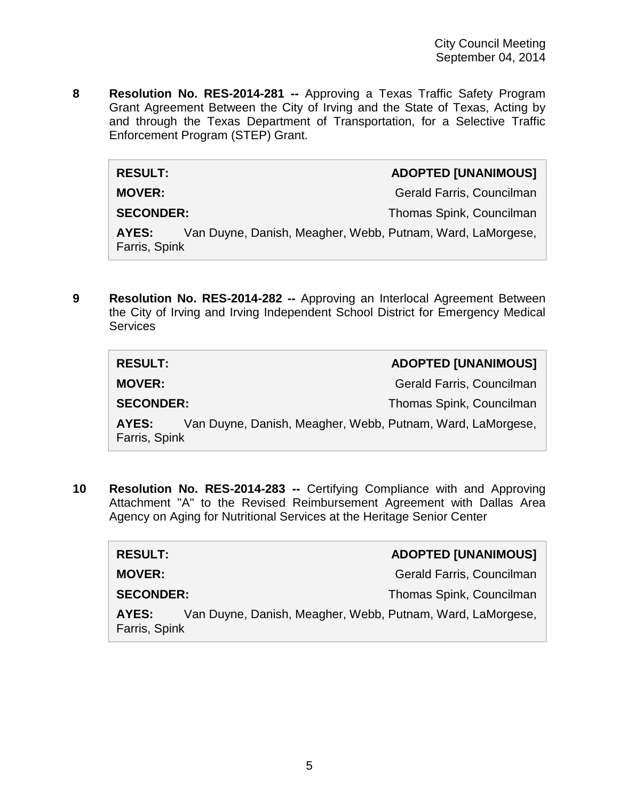**8 Resolution No. RES-2014-281 --** Approving a Texas Traffic Safety Program Grant Agreement Between the City of Irving and the State of Texas, Acting by and through the Texas Department of Transportation, for a Selective Traffic Enforcement Program (STEP) Grant.

 $RESULT:$ 

**MOVER:** Gerald Farris, Councilman

**SECONDER:** Thomas Spink, Councilman

**AYES:** Van Duyne, Danish, Meagher, Webb, Putnam, Ward, LaMorgese, Farris, Spink

**9 Resolution No. RES-2014-282 --** Approving an Interlocal Agreement Between the City of Irving and Irving Independent School District for Emergency Medical **Services** 

| <b>RESULT:</b>         | <b>ADOPTED [UNANIMOUS]</b>                                 |
|------------------------|------------------------------------------------------------|
| <b>MOVER:</b>          | Gerald Farris, Councilman                                  |
| <b>SECONDER:</b>       | Thomas Spink, Councilman                                   |
| AYES:<br>Farris, Spink | Van Duyne, Danish, Meagher, Webb, Putnam, Ward, LaMorgese, |

**10 Resolution No. RES-2014-283 --** Certifying Compliance with and Approving Attachment "A" to the Revised Reimbursement Agreement with Dallas Area Agency on Aging for Nutritional Services at the Heritage Senior Center

| <b>RESULT:</b>         |                                                            | <b>ADOPTED [UNANIMOUS]</b> |
|------------------------|------------------------------------------------------------|----------------------------|
| <b>MOVER:</b>          |                                                            | Gerald Farris, Councilman  |
| <b>SECONDER:</b>       |                                                            | Thomas Spink, Councilman   |
| AYES:<br>Farris, Spink | Van Duyne, Danish, Meagher, Webb, Putnam, Ward, LaMorgese, |                            |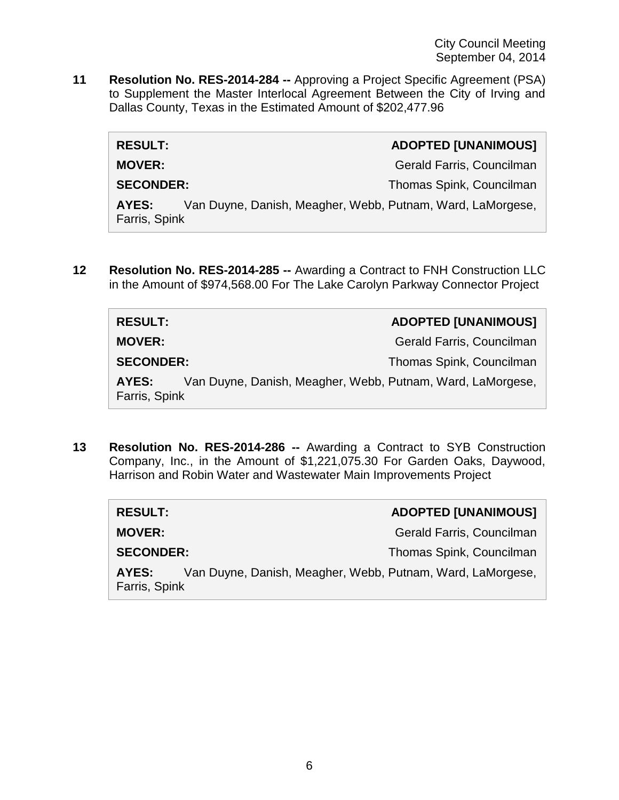City Council Meeting September 04, 2014

**11 Resolution No. RES-2014-284 --** Approving a Project Specific Agreement (PSA) to Supplement the Master Interlocal Agreement Between the City of Irving and Dallas County, Texas in the Estimated Amount of \$202,477.96

| <b>RESULT:</b>                                                                       | <b>ADOPTED [UNANIMOUS]</b> |
|--------------------------------------------------------------------------------------|----------------------------|
| <b>MOVER:</b>                                                                        | Gerald Farris, Councilman  |
| <b>SECONDER:</b>                                                                     | Thomas Spink, Councilman   |
| Van Duyne, Danish, Meagher, Webb, Putnam, Ward, LaMorgese,<br>AYES:<br>Farris, Spink |                            |

**12 Resolution No. RES-2014-285 --** Awarding a Contract to FNH Construction LLC in the Amount of \$974,568.00 For The Lake Carolyn Parkway Connector Project

| <b>RESULT:</b>                                                                       | <b>ADOPTED [UNANIMOUS]</b> |
|--------------------------------------------------------------------------------------|----------------------------|
| <b>MOVER:</b>                                                                        | Gerald Farris, Councilman  |
| <b>SECONDER:</b>                                                                     | Thomas Spink, Councilman   |
| Van Duyne, Danish, Meagher, Webb, Putnam, Ward, LaMorgese,<br>AYES:<br>Farris, Spink |                            |

**13 Resolution No. RES-2014-286 --** Awarding a Contract to SYB Construction Company, Inc., in the Amount of \$1,221,075.30 For Garden Oaks, Daywood, Harrison and Robin Water and Wastewater Main Improvements Project

| <b>RESULT:</b>                                                                       | <b>ADOPTED [UNANIMOUS]</b> |
|--------------------------------------------------------------------------------------|----------------------------|
| <b>MOVER:</b>                                                                        | Gerald Farris, Councilman  |
| <b>SECONDER:</b>                                                                     | Thomas Spink, Councilman   |
| Van Duyne, Danish, Meagher, Webb, Putnam, Ward, LaMorgese,<br>AYES:<br>Farris, Spink |                            |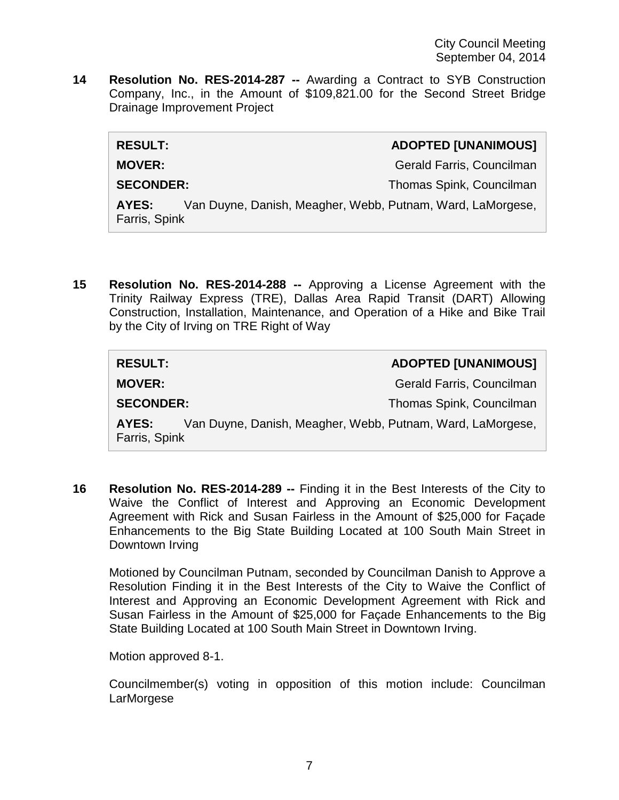**14 Resolution No. RES-2014-287 --** Awarding a Contract to SYB Construction Company, Inc., in the Amount of \$109,821.00 for the Second Street Bridge Drainage Improvement Project

| <b>RESULT:</b>         |                                                            | <b>ADOPTED [UNANIMOUS]</b> |
|------------------------|------------------------------------------------------------|----------------------------|
| <b>MOVER:</b>          |                                                            | Gerald Farris, Councilman  |
| <b>SECONDER:</b>       |                                                            | Thomas Spink, Councilman   |
| AYES:<br>Farris, Spink | Van Duyne, Danish, Meagher, Webb, Putnam, Ward, LaMorgese, |                            |
|                        |                                                            |                            |

**15 Resolution No. RES-2014-288 --** Approving a License Agreement with the Trinity Railway Express (TRE), Dallas Area Rapid Transit (DART) Allowing Construction, Installation, Maintenance, and Operation of a Hike and Bike Trail by the City of Irving on TRE Right of Way

| <b>RESULT:</b>                                                                       | <b>ADOPTED [UNANIMOUS]</b> |
|--------------------------------------------------------------------------------------|----------------------------|
| <b>MOVER:</b>                                                                        | Gerald Farris, Councilman  |
| <b>SECONDER:</b>                                                                     | Thomas Spink, Councilman   |
| Van Duyne, Danish, Meagher, Webb, Putnam, Ward, LaMorgese,<br>AYES:<br>Farris, Spink |                            |

**16 Resolution No. RES-2014-289 --** Finding it in the Best Interests of the City to Waive the Conflict of Interest and Approving an Economic Development Agreement with Rick and Susan Fairless in the Amount of \$25,000 for Façade Enhancements to the Big State Building Located at 100 South Main Street in Downtown Irving

Motioned by Councilman Putnam, seconded by Councilman Danish to Approve a Resolution Finding it in the Best Interests of the City to Waive the Conflict of Interest and Approving an Economic Development Agreement with Rick and Susan Fairless in the Amount of \$25,000 for Façade Enhancements to the Big State Building Located at 100 South Main Street in Downtown Irving.

Motion approved 8-1.

Councilmember(s) voting in opposition of this motion include: Councilman **LarMorgese**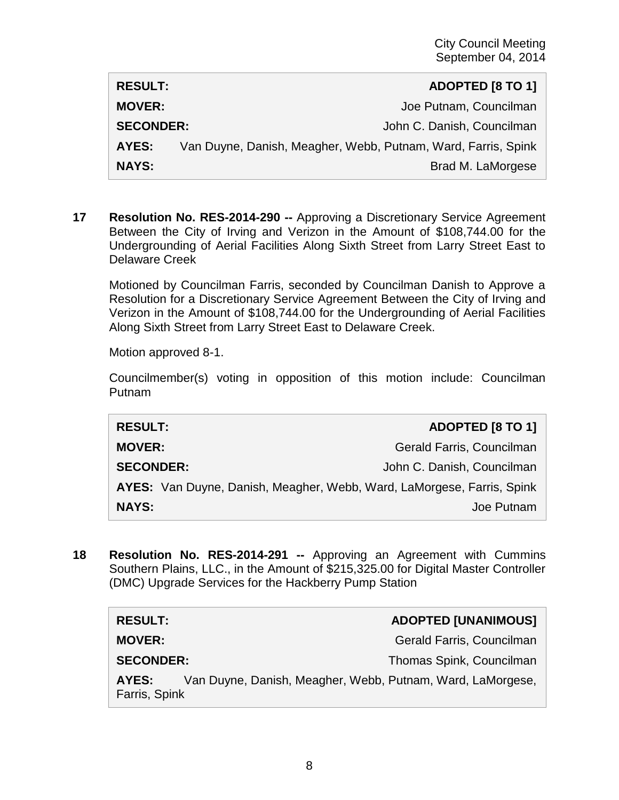| <b>RESULT:</b>   |                                                               | ADOPTED [8 TO 1]           |
|------------------|---------------------------------------------------------------|----------------------------|
| <b>MOVER:</b>    |                                                               | Joe Putnam, Councilman     |
| <b>SECONDER:</b> |                                                               | John C. Danish, Councilman |
| AYES:            | Van Duyne, Danish, Meagher, Webb, Putnam, Ward, Farris, Spink |                            |
| <b>NAYS:</b>     |                                                               | Brad M. LaMorgese          |

**17 Resolution No. RES-2014-290 --** Approving a Discretionary Service Agreement Between the City of Irving and Verizon in the Amount of \$108,744.00 for the Undergrounding of Aerial Facilities Along Sixth Street from Larry Street East to Delaware Creek

Motioned by Councilman Farris, seconded by Councilman Danish to Approve a Resolution for a Discretionary Service Agreement Between the City of Irving and Verizon in the Amount of \$108,744.00 for the Undergrounding of Aerial Facilities Along Sixth Street from Larry Street East to Delaware Creek.

Motion approved 8-1.

Councilmember(s) voting in opposition of this motion include: Councilman Putnam

| <b>RESULT:</b>                                                         | <b>ADOPTED [8 TO 1]</b>    |
|------------------------------------------------------------------------|----------------------------|
| <b>MOVER:</b>                                                          | Gerald Farris, Councilman  |
| <b>SECONDER:</b>                                                       | John C. Danish, Councilman |
| AYES: Van Duyne, Danish, Meagher, Webb, Ward, LaMorgese, Farris, Spink |                            |
| <b>NAYS:</b>                                                           | Joe Putnam                 |

**18 Resolution No. RES-2014-291 --** Approving an Agreement with Cummins Southern Plains, LLC., in the Amount of \$215,325.00 for Digital Master Controller (DMC) Upgrade Services for the Hackberry Pump Station

| <b>RESULT:</b>                                                                       | <b>ADOPTED [UNANIMOUS]</b> |
|--------------------------------------------------------------------------------------|----------------------------|
| <b>MOVER:</b>                                                                        | Gerald Farris, Councilman  |
| <b>SECONDER:</b>                                                                     | Thomas Spink, Councilman   |
| Van Duyne, Danish, Meagher, Webb, Putnam, Ward, LaMorgese,<br>AYES:<br>Farris, Spink |                            |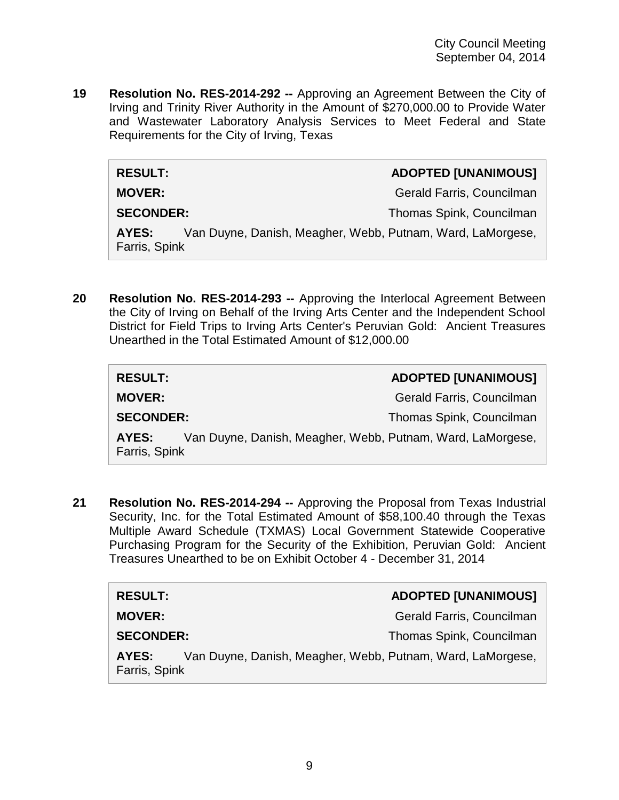**19 Resolution No. RES-2014-292 --** Approving an Agreement Between the City of Irving and Trinity River Authority in the Amount of \$270,000.00 to Provide Water and Wastewater Laboratory Analysis Services to Meet Federal and State Requirements for the City of Irving, Texas

| <b>ADOPTED [UNANIMOUS]</b> |
|----------------------------|

 $RESULT:$ 

**MOVER:** Gerald Farris, Councilman

**SECONDER:** Thomas Spink, Councilman

**AYES:** Van Duyne, Danish, Meagher, Webb, Putnam, Ward, LaMorgese, Farris, Spink

**20 Resolution No. RES-2014-293 --** Approving the Interlocal Agreement Between the City of Irving on Behalf of the Irving Arts Center and the Independent School District for Field Trips to Irving Arts Center's Peruvian Gold: Ancient Treasures Unearthed in the Total Estimated Amount of \$12,000.00

| <b>RESULT:</b>         | <b>ADOPTED [UNANIMOUS]</b>                                 |
|------------------------|------------------------------------------------------------|
| <b>MOVER:</b>          | Gerald Farris, Councilman                                  |
| <b>SECONDER:</b>       | Thomas Spink, Councilman                                   |
| AYES:<br>Farris, Spink | Van Duyne, Danish, Meagher, Webb, Putnam, Ward, LaMorgese, |

**21 Resolution No. RES-2014-294 --** Approving the Proposal from Texas Industrial Security, Inc. for the Total Estimated Amount of \$58,100.40 through the Texas Multiple Award Schedule (TXMAS) Local Government Statewide Cooperative Purchasing Program for the Security of the Exhibition, Peruvian Gold: Ancient Treasures Unearthed to be on Exhibit October 4 - December 31, 2014

| <b>RESULT:</b>                                                                       |  | <b>ADOPTED [UNANIMOUS]</b> |
|--------------------------------------------------------------------------------------|--|----------------------------|
| <b>MOVER:</b>                                                                        |  | Gerald Farris, Councilman  |
| <b>SECONDER:</b>                                                                     |  | Thomas Spink, Councilman   |
| Van Duyne, Danish, Meagher, Webb, Putnam, Ward, LaMorgese,<br>AYES:<br>Farris, Spink |  |                            |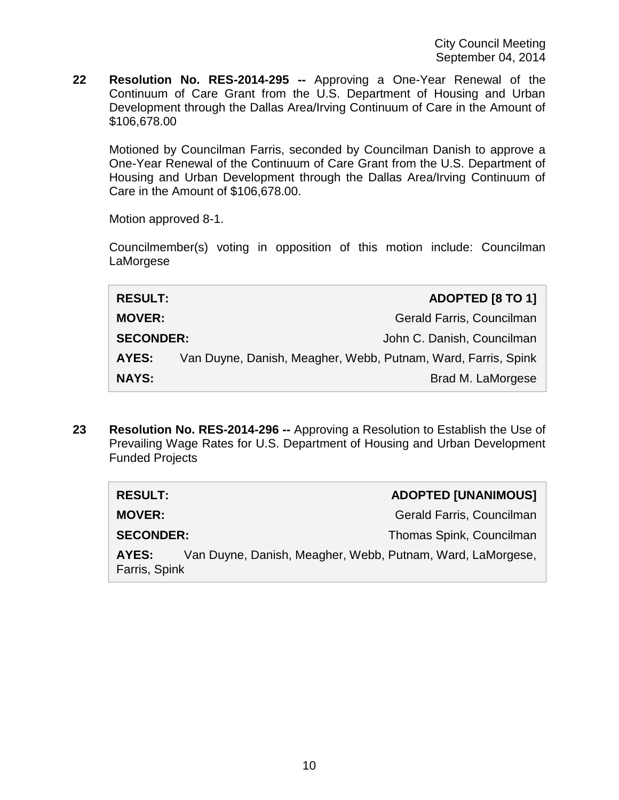**22 Resolution No. RES-2014-295 --** Approving a One-Year Renewal of the Continuum of Care Grant from the U.S. Department of Housing and Urban Development through the Dallas Area/Irving Continuum of Care in the Amount of \$106,678.00

Motioned by Councilman Farris, seconded by Councilman Danish to approve a One-Year Renewal of the Continuum of Care Grant from the U.S. Department of Housing and Urban Development through the Dallas Area/Irving Continuum of Care in the Amount of \$106,678.00.

Motion approved 8-1.

Councilmember(s) voting in opposition of this motion include: Councilman LaMorgese

| <b>RESULT:</b>   | <b>ADOPTED [8 TO 1]</b>                                       |
|------------------|---------------------------------------------------------------|
| <b>MOVER:</b>    | Gerald Farris, Councilman                                     |
| <b>SECONDER:</b> | John C. Danish, Councilman                                    |
| AYES:            | Van Duyne, Danish, Meagher, Webb, Putnam, Ward, Farris, Spink |
| <b>NAYS:</b>     | Brad M. LaMorgese                                             |

**23 Resolution No. RES-2014-296 --** Approving a Resolution to Establish the Use of Prevailing Wage Rates for U.S. Department of Housing and Urban Development Funded Projects

| <b>RESULT:</b>                                                                       | <b>ADOPTED [UNANIMOUS]</b> |
|--------------------------------------------------------------------------------------|----------------------------|
| <b>MOVER:</b>                                                                        | Gerald Farris, Councilman  |
| <b>SECONDER:</b>                                                                     | Thomas Spink, Councilman   |
| Van Duyne, Danish, Meagher, Webb, Putnam, Ward, LaMorgese,<br>AYES:<br>Farris, Spink |                            |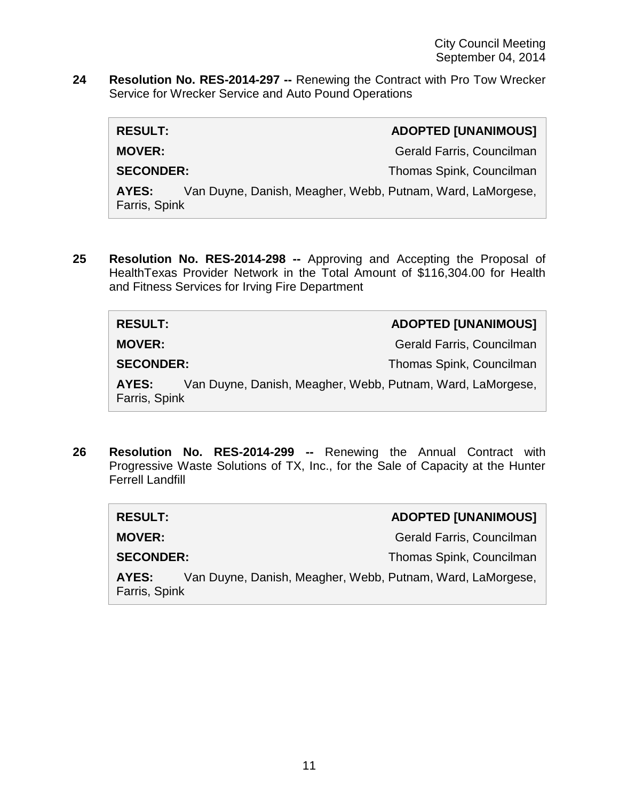**24 Resolution No. RES-2014-297 --** Renewing the Contract with Pro Tow Wrecker Service for Wrecker Service and Auto Pound Operations

| <b>RESULT:</b>                                                                       |  | <b>ADOPTED [UNANIMOUS]</b> |
|--------------------------------------------------------------------------------------|--|----------------------------|
| <b>MOVER:</b>                                                                        |  | Gerald Farris, Councilman  |
| <b>SECONDER:</b>                                                                     |  | Thomas Spink, Councilman   |
| Van Duyne, Danish, Meagher, Webb, Putnam, Ward, LaMorgese,<br>AYES:<br>Farris, Spink |  |                            |

**25 Resolution No. RES-2014-298 --** Approving and Accepting the Proposal of HealthTexas Provider Network in the Total Amount of \$116,304.00 for Health and Fitness Services for Irving Fire Department

| <b>RESULT:</b>         |                                                            | <b>ADOPTED [UNANIMOUS]</b> |
|------------------------|------------------------------------------------------------|----------------------------|
| <b>MOVER:</b>          |                                                            | Gerald Farris, Councilman  |
| <b>SECONDER:</b>       |                                                            | Thomas Spink, Councilman   |
| AYES:<br>Farris, Spink | Van Duyne, Danish, Meagher, Webb, Putnam, Ward, LaMorgese, |                            |

**26 Resolution No. RES-2014-299 --** Renewing the Annual Contract with Progressive Waste Solutions of TX, Inc., for the Sale of Capacity at the Hunter Ferrell Landfill

| <b>RESULT:</b>         |                                                            | <b>ADOPTED [UNANIMOUS]</b> |
|------------------------|------------------------------------------------------------|----------------------------|
| <b>MOVER:</b>          |                                                            | Gerald Farris, Councilman  |
| <b>SECONDER:</b>       |                                                            | Thomas Spink, Councilman   |
| AYES:<br>Farris, Spink | Van Duyne, Danish, Meagher, Webb, Putnam, Ward, LaMorgese, |                            |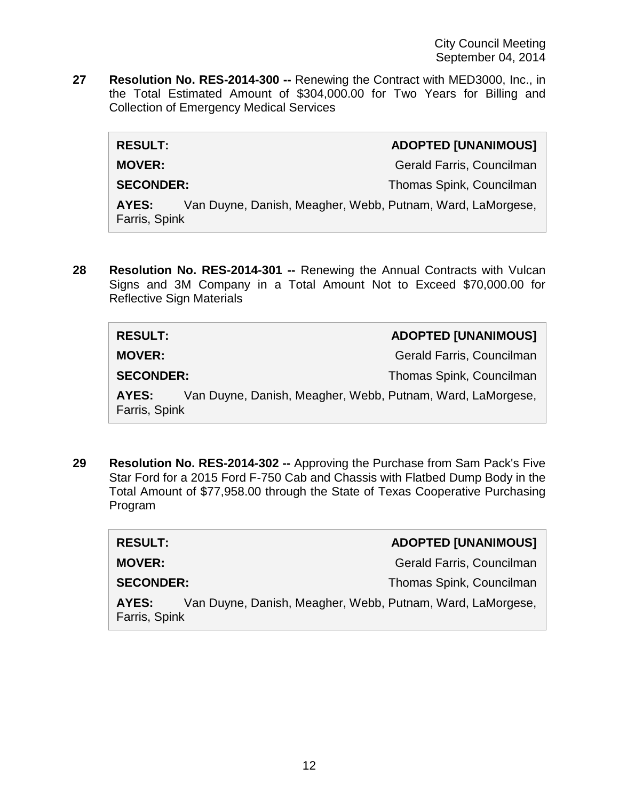**27 Resolution No. RES-2014-300 --** Renewing the Contract with MED3000, Inc., in the Total Estimated Amount of \$304,000.00 for Two Years for Billing and Collection of Emergency Medical Services

| <b>RESULT:</b>         |                                                            | <b>ADOPTED [UNANIMOUS]</b> |
|------------------------|------------------------------------------------------------|----------------------------|
| <b>MOVER:</b>          |                                                            | Gerald Farris, Councilman  |
| <b>SECONDER:</b>       |                                                            | Thomas Spink, Councilman   |
| AYES:<br>Farris, Spink | Van Duyne, Danish, Meagher, Webb, Putnam, Ward, LaMorgese, |                            |
|                        |                                                            |                            |

**28 Resolution No. RES-2014-301 --** Renewing the Annual Contracts with Vulcan Signs and 3M Company in a Total Amount Not to Exceed \$70,000.00 for Reflective Sign Materials

| <b>RESULT:</b>         |                                                            | <b>ADOPTED [UNANIMOUS]</b> |
|------------------------|------------------------------------------------------------|----------------------------|
| <b>MOVER:</b>          |                                                            | Gerald Farris, Councilman  |
| <b>SECONDER:</b>       |                                                            | Thomas Spink, Councilman   |
| AYES:<br>Farris, Spink | Van Duyne, Danish, Meagher, Webb, Putnam, Ward, LaMorgese, |                            |

**29 Resolution No. RES-2014-302 --** Approving the Purchase from Sam Pack's Five Star Ford for a 2015 Ford F-750 Cab and Chassis with Flatbed Dump Body in the Total Amount of \$77,958.00 through the State of Texas Cooperative Purchasing Program

| <b>RESULT:</b>                                                                       | <b>ADOPTED [UNANIMOUS]</b> |
|--------------------------------------------------------------------------------------|----------------------------|
| <b>MOVER:</b>                                                                        | Gerald Farris, Councilman  |
| <b>SECONDER:</b>                                                                     | Thomas Spink, Councilman   |
| Van Duyne, Danish, Meagher, Webb, Putnam, Ward, LaMorgese,<br>AYES:<br>Farris, Spink |                            |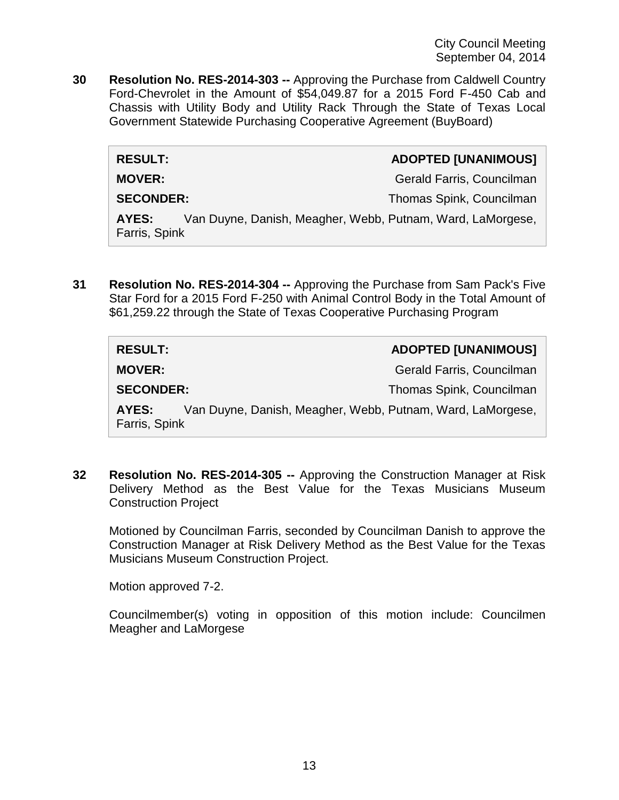City Council Meeting September 04, 2014

**30 Resolution No. RES-2014-303 --** Approving the Purchase from Caldwell Country Ford-Chevrolet in the Amount of \$54,049.87 for a 2015 Ford F-450 Cab and Chassis with Utility Body and Utility Rack Through the State of Texas Local Government Statewide Purchasing Cooperative Agreement (BuyBoard)

| <b>RESULT:</b>         | <b>ADOPTED [UNANIMOUS]</b>                                 |
|------------------------|------------------------------------------------------------|
| <b>MOVER:</b>          | Gerald Farris, Councilman                                  |
| <b>SECONDER:</b>       | Thomas Spink, Councilman                                   |
| AYES:<br>Farris, Spink | Van Duyne, Danish, Meagher, Webb, Putnam, Ward, LaMorgese, |

**31 Resolution No. RES-2014-304 --** Approving the Purchase from Sam Pack's Five Star Ford for a 2015 Ford F-250 with Animal Control Body in the Total Amount of \$61,259.22 through the State of Texas Cooperative Purchasing Program

| <b>RESULT:</b>                                                                       | <b>ADOPTED [UNANIMOUS]</b> |
|--------------------------------------------------------------------------------------|----------------------------|
| <b>MOVER:</b>                                                                        | Gerald Farris, Councilman  |
| <b>SECONDER:</b>                                                                     | Thomas Spink, Councilman   |
| Van Duyne, Danish, Meagher, Webb, Putnam, Ward, LaMorgese,<br>AYES:<br>Farris, Spink |                            |

**32 Resolution No. RES-2014-305 --** Approving the Construction Manager at Risk Delivery Method as the Best Value for the Texas Musicians Museum Construction Project

Motioned by Councilman Farris, seconded by Councilman Danish to approve the Construction Manager at Risk Delivery Method as the Best Value for the Texas Musicians Museum Construction Project.

Motion approved 7-2.

Councilmember(s) voting in opposition of this motion include: Councilmen Meagher and LaMorgese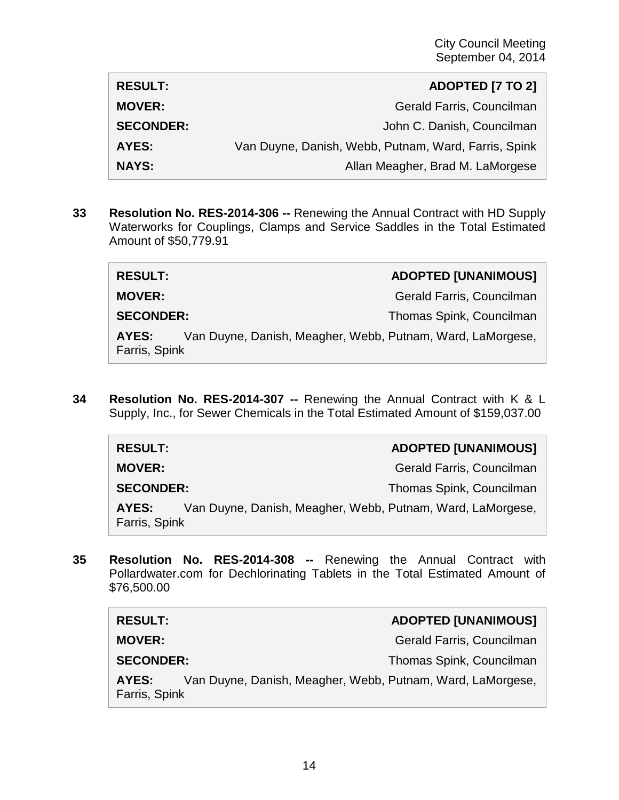| <b>RESULT:</b>   | <b>ADOPTED [7 TO 2]</b>                              |
|------------------|------------------------------------------------------|
| <b>MOVER:</b>    | Gerald Farris, Councilman                            |
| <b>SECONDER:</b> | John C. Danish, Councilman                           |
| AYES:            | Van Duyne, Danish, Webb, Putnam, Ward, Farris, Spink |
| <b>NAYS:</b>     | Allan Meagher, Brad M. LaMorgese                     |

**33 Resolution No. RES-2014-306 --** Renewing the Annual Contract with HD Supply Waterworks for Couplings, Clamps and Service Saddles in the Total Estimated Amount of \$50,779.91

| <b>RESULT:</b>                                                                       | <b>ADOPTED [UNANIMOUS]</b> |
|--------------------------------------------------------------------------------------|----------------------------|
| <b>MOVER:</b>                                                                        | Gerald Farris, Councilman  |
| <b>SECONDER:</b>                                                                     | Thomas Spink, Councilman   |
| Van Duyne, Danish, Meagher, Webb, Putnam, Ward, LaMorgese,<br>AYES:<br>Farris, Spink |                            |

**34 Resolution No. RES-2014-307 --** Renewing the Annual Contract with K & L Supply, Inc., for Sewer Chemicals in the Total Estimated Amount of \$159,037.00

| <b>RESULT:</b>         |                                                            | <b>ADOPTED [UNANIMOUS]</b> |
|------------------------|------------------------------------------------------------|----------------------------|
| <b>MOVER:</b>          |                                                            | Gerald Farris, Councilman  |
| <b>SECONDER:</b>       |                                                            | Thomas Spink, Councilman   |
| AYES:<br>Farris, Spink | Van Duyne, Danish, Meagher, Webb, Putnam, Ward, LaMorgese, |                            |

**35 Resolution No. RES-2014-308 --** Renewing the Annual Contract with Pollardwater.com for Dechlorinating Tablets in the Total Estimated Amount of \$76,500.00

| <b>RESULT:</b>                                                                       | <b>ADOPTED [UNANIMOUS]</b> |  |
|--------------------------------------------------------------------------------------|----------------------------|--|
| <b>MOVER:</b>                                                                        | Gerald Farris, Councilman  |  |
| <b>SECONDER:</b>                                                                     | Thomas Spink, Councilman   |  |
| Van Duyne, Danish, Meagher, Webb, Putnam, Ward, LaMorgese,<br>AYES:<br>Farris, Spink |                            |  |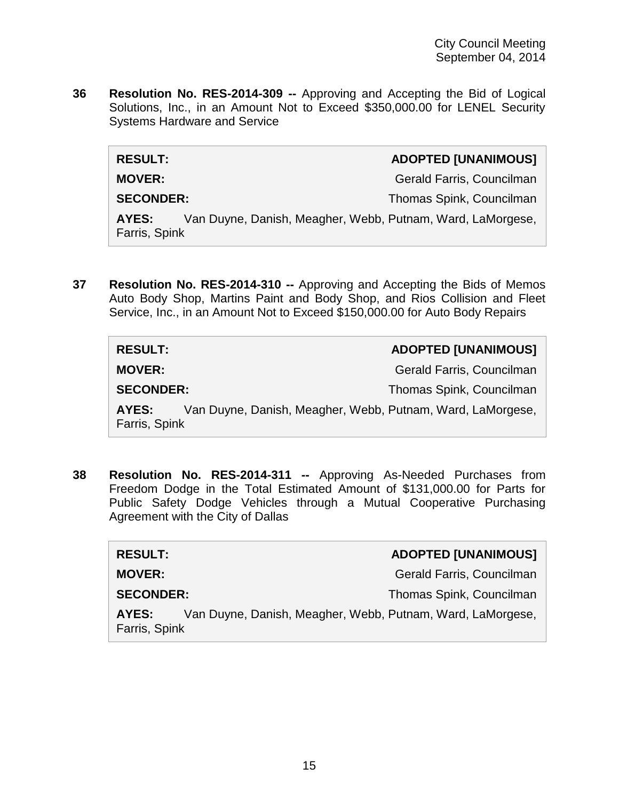**36 Resolution No. RES-2014-309 --** Approving and Accepting the Bid of Logical Solutions, Inc., in an Amount Not to Exceed \$350,000.00 for LENEL Security Systems Hardware and Service

| <b>RESULT:</b>         |                                                            | <b>ADOPTED [UNANIMOUS]</b> |
|------------------------|------------------------------------------------------------|----------------------------|
| <b>MOVER:</b>          |                                                            | Gerald Farris, Councilman  |
| <b>SECONDER:</b>       |                                                            | Thomas Spink, Councilman   |
| AYES:<br>Farris, Spink | Van Duyne, Danish, Meagher, Webb, Putnam, Ward, LaMorgese, |                            |

**37 Resolution No. RES-2014-310 --** Approving and Accepting the Bids of Memos Auto Body Shop, Martins Paint and Body Shop, and Rios Collision and Fleet Service, Inc., in an Amount Not to Exceed \$150,000.00 for Auto Body Repairs

| <b>RESULT:</b>                                                                       | <b>ADOPTED [UNANIMOUS]</b> |
|--------------------------------------------------------------------------------------|----------------------------|
| <b>MOVER:</b>                                                                        | Gerald Farris, Councilman  |
| <b>SECONDER:</b>                                                                     | Thomas Spink, Councilman   |
| Van Duyne, Danish, Meagher, Webb, Putnam, Ward, LaMorgese,<br>AYES:<br>Farris, Spink |                            |

**38 Resolution No. RES-2014-311 --** Approving As-Needed Purchases from Freedom Dodge in the Total Estimated Amount of \$131,000.00 for Parts for Public Safety Dodge Vehicles through a Mutual Cooperative Purchasing Agreement with the City of Dallas

| <b>RESULT:</b>                                                                       | <b>ADOPTED [UNANIMOUS]</b> |
|--------------------------------------------------------------------------------------|----------------------------|
| <b>MOVER:</b>                                                                        | Gerald Farris, Councilman  |
| <b>SECONDER:</b>                                                                     | Thomas Spink, Councilman   |
| Van Duyne, Danish, Meagher, Webb, Putnam, Ward, LaMorgese,<br>AYES:<br>Farris, Spink |                            |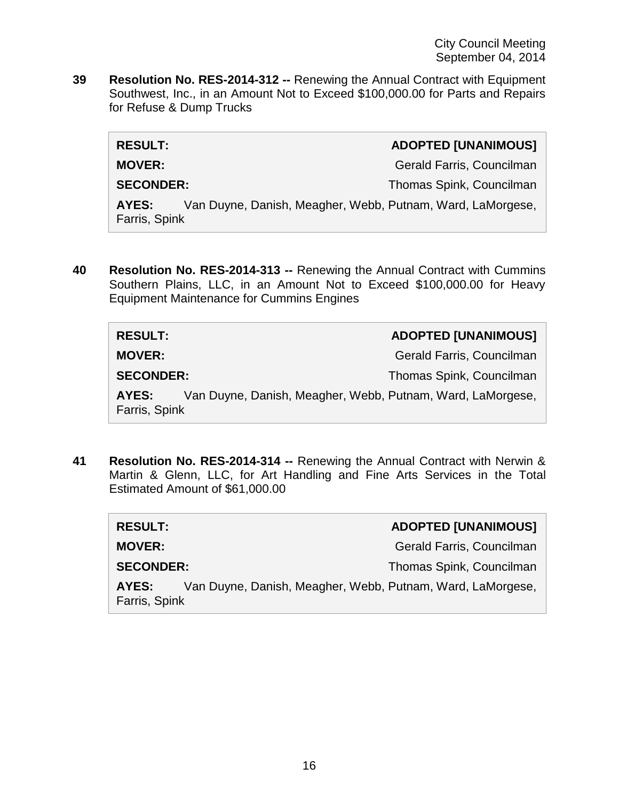**39 Resolution No. RES-2014-312 --** Renewing the Annual Contract with Equipment Southwest, Inc., in an Amount Not to Exceed \$100,000.00 for Parts and Repairs for Refuse & Dump Trucks

| <b>RESULT:</b>         |                                                            | <b>ADOPTED [UNANIMOUS]</b> |
|------------------------|------------------------------------------------------------|----------------------------|
| <b>MOVER:</b>          |                                                            | Gerald Farris, Councilman  |
| <b>SECONDER:</b>       |                                                            | Thomas Spink, Councilman   |
| AYES:<br>Farris, Spink | Van Duyne, Danish, Meagher, Webb, Putnam, Ward, LaMorgese, |                            |
|                        |                                                            |                            |

**40 Resolution No. RES-2014-313 --** Renewing the Annual Contract with Cummins Southern Plains, LLC, in an Amount Not to Exceed \$100,000.00 for Heavy Equipment Maintenance for Cummins Engines

| <b>RESULT:</b>                                                                       | <b>ADOPTED [UNANIMOUS]</b> |
|--------------------------------------------------------------------------------------|----------------------------|
| <b>MOVER:</b>                                                                        | Gerald Farris, Councilman  |
| <b>SECONDER:</b>                                                                     | Thomas Spink, Councilman   |
| Van Duyne, Danish, Meagher, Webb, Putnam, Ward, LaMorgese,<br>AYES:<br>Farris, Spink |                            |

**41 Resolution No. RES-2014-314 --** Renewing the Annual Contract with Nerwin & Martin & Glenn, LLC, for Art Handling and Fine Arts Services in the Total Estimated Amount of \$61,000.00

| <b>RESULT:</b>                                                                       | <b>ADOPTED [UNANIMOUS]</b> |
|--------------------------------------------------------------------------------------|----------------------------|
| <b>MOVER:</b>                                                                        | Gerald Farris, Councilman  |
| <b>SECONDER:</b>                                                                     | Thomas Spink, Councilman   |
| Van Duyne, Danish, Meagher, Webb, Putnam, Ward, LaMorgese,<br>AYES:<br>Farris, Spink |                            |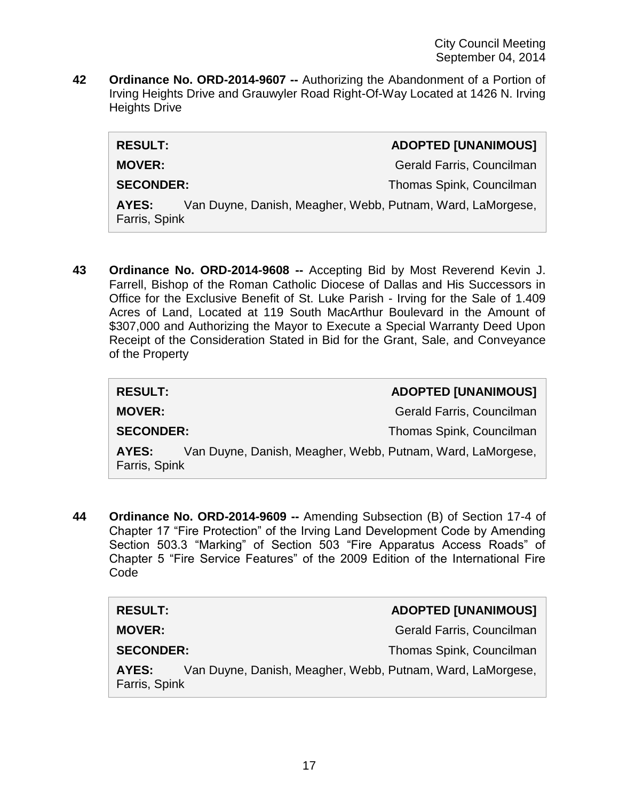**42 Ordinance No. ORD-2014-9607 --** Authorizing the Abandonment of a Portion of Irving Heights Drive and Grauwyler Road Right-Of-Way Located at 1426 N. Irving Heights Drive

| <b>RESULT:</b>         | <b>ADOPTED [UNANIMOUS]</b>                                 |
|------------------------|------------------------------------------------------------|
| <b>MOVER:</b>          | Gerald Farris, Councilman                                  |
| <b>SECONDER:</b>       | Thomas Spink, Councilman                                   |
| AYES:<br>Farris, Spink | Van Duyne, Danish, Meagher, Webb, Putnam, Ward, LaMorgese, |

**43 Ordinance No. ORD-2014-9608 --** Accepting Bid by Most Reverend Kevin J. Farrell, Bishop of the Roman Catholic Diocese of Dallas and His Successors in Office for the Exclusive Benefit of St. Luke Parish - Irving for the Sale of 1.409 Acres of Land, Located at 119 South MacArthur Boulevard in the Amount of \$307,000 and Authorizing the Mayor to Execute a Special Warranty Deed Upon Receipt of the Consideration Stated in Bid for the Grant, Sale, and Conveyance of the Property

| <b>RESULT:</b>         | <b>ADOPTED [UNANIMOUS]</b>                                 |
|------------------------|------------------------------------------------------------|
| <b>MOVER:</b>          | Gerald Farris, Councilman                                  |
| <b>SECONDER:</b>       | Thomas Spink, Councilman                                   |
| AYES:<br>Farris, Spink | Van Duyne, Danish, Meagher, Webb, Putnam, Ward, LaMorgese, |

**44 Ordinance No. ORD-2014-9609 --** Amending Subsection (B) of Section 17-4 of Chapter 17 "Fire Protection" of the Irving Land Development Code by Amending Section 503.3 "Marking" of Section 503 "Fire Apparatus Access Roads" of Chapter 5 "Fire Service Features" of the 2009 Edition of the International Fire Code

| <b>RESULT:</b>                                                                       | <b>ADOPTED [UNANIMOUS]</b> |
|--------------------------------------------------------------------------------------|----------------------------|
| <b>MOVER:</b>                                                                        | Gerald Farris, Councilman  |
| <b>SECONDER:</b>                                                                     | Thomas Spink, Councilman   |
| Van Duyne, Danish, Meagher, Webb, Putnam, Ward, LaMorgese,<br>AYES:<br>Farris, Spink |                            |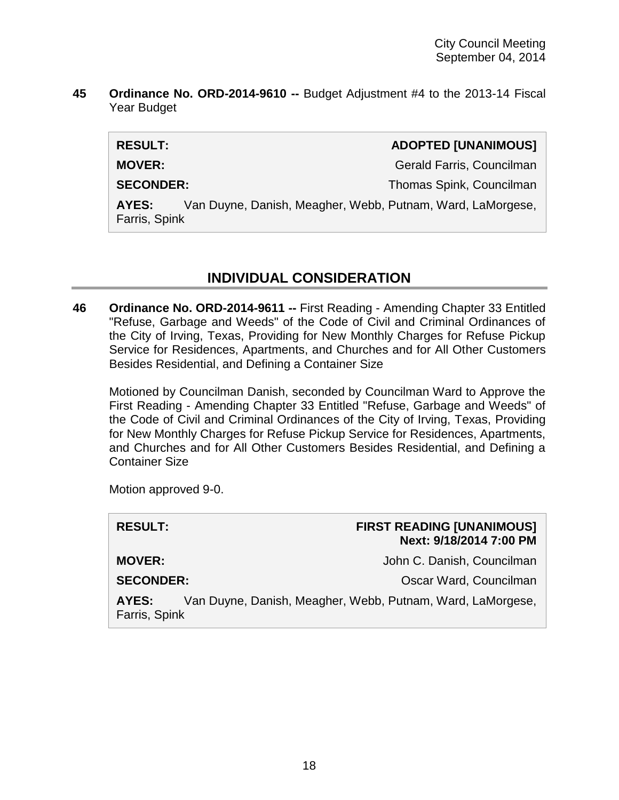**45 Ordinance No. ORD-2014-9610 --** Budget Adjustment #4 to the 2013-14 Fiscal Year Budget

| <b>RESULT:</b>                                                                       | <b>ADOPTED [UNANIMOUS]</b> |
|--------------------------------------------------------------------------------------|----------------------------|
| <b>MOVER:</b>                                                                        | Gerald Farris, Councilman  |
| <b>SECONDER:</b>                                                                     | Thomas Spink, Councilman   |
| Van Duyne, Danish, Meagher, Webb, Putnam, Ward, LaMorgese,<br>AYES:<br>Farris, Spink |                            |
|                                                                                      |                            |

# **INDIVIDUAL CONSIDERATION**

**46 Ordinance No. ORD-2014-9611 --** First Reading - Amending Chapter 33 Entitled "Refuse, Garbage and Weeds" of the Code of Civil and Criminal Ordinances of the City of Irving, Texas, Providing for New Monthly Charges for Refuse Pickup Service for Residences, Apartments, and Churches and for All Other Customers Besides Residential, and Defining a Container Size

Motioned by Councilman Danish, seconded by Councilman Ward to Approve the First Reading - Amending Chapter 33 Entitled "Refuse, Garbage and Weeds" of the Code of Civil and Criminal Ordinances of the City of Irving, Texas, Providing for New Monthly Charges for Refuse Pickup Service for Residences, Apartments, and Churches and for All Other Customers Besides Residential, and Defining a Container Size

Motion approved 9-0.

| <b>RESULT:</b>         | <b>FIRST READING [UNANIMOUS]</b><br>Next: 9/18/2014 7:00 PM |
|------------------------|-------------------------------------------------------------|
| <b>MOVER:</b>          | John C. Danish, Councilman                                  |
| <b>SECONDER:</b>       | Oscar Ward, Councilman                                      |
| AYES:<br>Farris, Spink | Van Duyne, Danish, Meagher, Webb, Putnam, Ward, LaMorgese,  |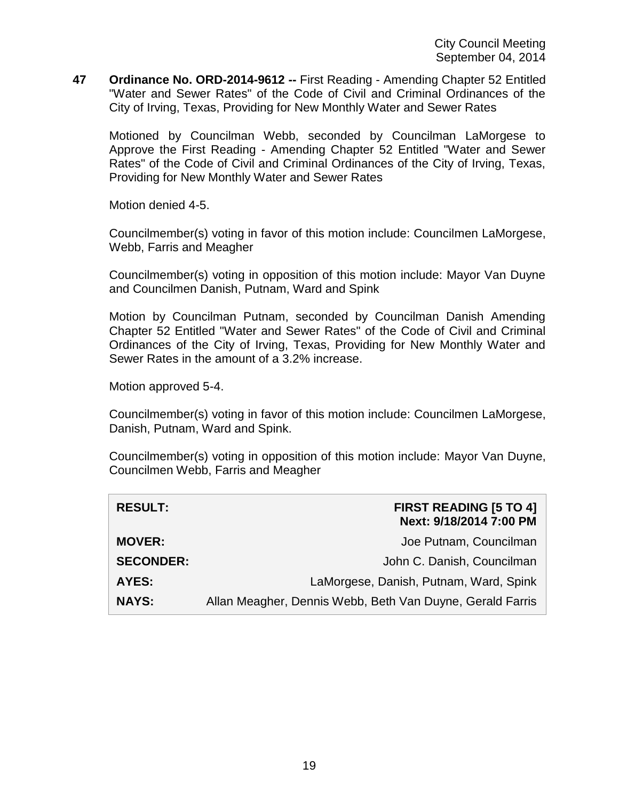**47 Ordinance No. ORD-2014-9612 --** First Reading - Amending Chapter 52 Entitled "Water and Sewer Rates" of the Code of Civil and Criminal Ordinances of the City of Irving, Texas, Providing for New Monthly Water and Sewer Rates

Motioned by Councilman Webb, seconded by Councilman LaMorgese to Approve the First Reading - Amending Chapter 52 Entitled "Water and Sewer Rates" of the Code of Civil and Criminal Ordinances of the City of Irving, Texas, Providing for New Monthly Water and Sewer Rates

Motion denied 4-5.

Councilmember(s) voting in favor of this motion include: Councilmen LaMorgese, Webb, Farris and Meagher

Councilmember(s) voting in opposition of this motion include: Mayor Van Duyne and Councilmen Danish, Putnam, Ward and Spink

Motion by Councilman Putnam, seconded by Councilman Danish Amending Chapter 52 Entitled "Water and Sewer Rates" of the Code of Civil and Criminal Ordinances of the City of Irving, Texas, Providing for New Monthly Water and Sewer Rates in the amount of a 3.2% increase.

Motion approved 5-4.

Councilmember(s) voting in favor of this motion include: Councilmen LaMorgese, Danish, Putnam, Ward and Spink.

Councilmember(s) voting in opposition of this motion include: Mayor Van Duyne, Councilmen Webb, Farris and Meagher

| <b>RESULT:</b>   | <b>FIRST READING [5 TO 4]</b><br>Next: 9/18/2014 7:00 PM  |
|------------------|-----------------------------------------------------------|
| <b>MOVER:</b>    | Joe Putnam, Councilman                                    |
| <b>SECONDER:</b> | John C. Danish, Councilman                                |
| <b>AYES:</b>     | LaMorgese, Danish, Putnam, Ward, Spink                    |
| <b>NAYS:</b>     | Allan Meagher, Dennis Webb, Beth Van Duyne, Gerald Farris |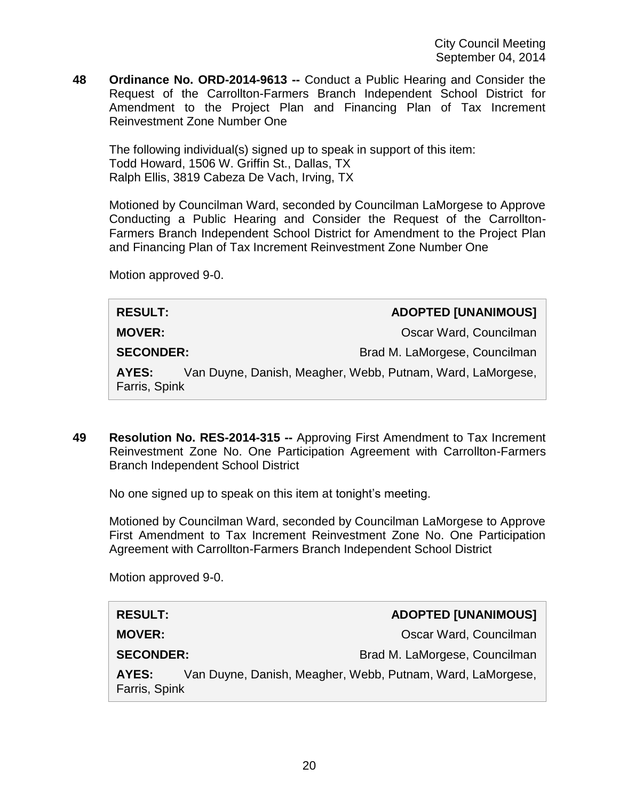**48 Ordinance No. ORD-2014-9613 --** Conduct a Public Hearing and Consider the Request of the Carrollton-Farmers Branch Independent School District for Amendment to the Project Plan and Financing Plan of Tax Increment Reinvestment Zone Number One

The following individual(s) signed up to speak in support of this item: Todd Howard, 1506 W. Griffin St., Dallas, TX Ralph Ellis, 3819 Cabeza De Vach, Irving, TX

Motioned by Councilman Ward, seconded by Councilman LaMorgese to Approve Conducting a Public Hearing and Consider the Request of the Carrollton-Farmers Branch Independent School District for Amendment to the Project Plan and Financing Plan of Tax Increment Reinvestment Zone Number One

Motion approved 9-0.

| <b>RESULT:</b>         | <b>ADOPTED [UNANIMOUS]</b>                                 |
|------------------------|------------------------------------------------------------|
| <b>MOVER:</b>          | Oscar Ward, Councilman                                     |
| <b>SECONDER:</b>       | Brad M. LaMorgese, Councilman                              |
| AYES:<br>Farris, Spink | Van Duyne, Danish, Meagher, Webb, Putnam, Ward, LaMorgese, |

**49 Resolution No. RES-2014-315 --** Approving First Amendment to Tax Increment Reinvestment Zone No. One Participation Agreement with Carrollton-Farmers Branch Independent School District

No one signed up to speak on this item at tonight's meeting.

Motioned by Councilman Ward, seconded by Councilman LaMorgese to Approve First Amendment to Tax Increment Reinvestment Zone No. One Participation Agreement with Carrollton-Farmers Branch Independent School District

Motion approved 9-0.

| <b>RESULT:</b>         | <b>ADOPTED [UNANIMOUS]</b>                                 |
|------------------------|------------------------------------------------------------|
| <b>MOVER:</b>          | Oscar Ward, Councilman                                     |
| <b>SECONDER:</b>       | Brad M. LaMorgese, Councilman                              |
| AYES:<br>Farris, Spink | Van Duyne, Danish, Meagher, Webb, Putnam, Ward, LaMorgese, |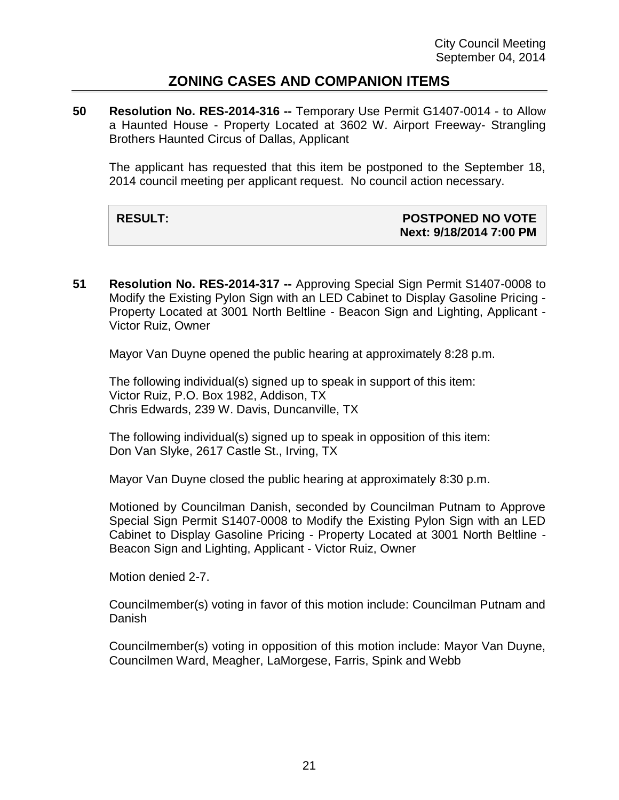#### **ZONING CASES AND COMPANION ITEMS**

**50 Resolution No. RES-2014-316 --** Temporary Use Permit G1407-0014 - to Allow a Haunted House - Property Located at 3602 W. Airport Freeway- Strangling Brothers Haunted Circus of Dallas, Applicant

The applicant has requested that this item be postponed to the September 18, 2014 council meeting per applicant request. No council action necessary.

#### **RESULT: POSTPONED NO VOTE Next: 9/18/2014 7:00 PM**

**51 Resolution No. RES-2014-317 --** Approving Special Sign Permit S1407-0008 to Modify the Existing Pylon Sign with an LED Cabinet to Display Gasoline Pricing - Property Located at 3001 North Beltline - Beacon Sign and Lighting, Applicant - Victor Ruiz, Owner

Mayor Van Duyne opened the public hearing at approximately 8:28 p.m.

The following individual(s) signed up to speak in support of this item: Victor Ruiz, P.O. Box 1982, Addison, TX Chris Edwards, 239 W. Davis, Duncanville, TX

The following individual(s) signed up to speak in opposition of this item: Don Van Slyke, 2617 Castle St., Irving, TX

Mayor Van Duyne closed the public hearing at approximately 8:30 p.m.

Motioned by Councilman Danish, seconded by Councilman Putnam to Approve Special Sign Permit S1407-0008 to Modify the Existing Pylon Sign with an LED Cabinet to Display Gasoline Pricing - Property Located at 3001 North Beltline - Beacon Sign and Lighting, Applicant - Victor Ruiz, Owner

Motion denied 2-7.

Councilmember(s) voting in favor of this motion include: Councilman Putnam and Danish

Councilmember(s) voting in opposition of this motion include: Mayor Van Duyne, Councilmen Ward, Meagher, LaMorgese, Farris, Spink and Webb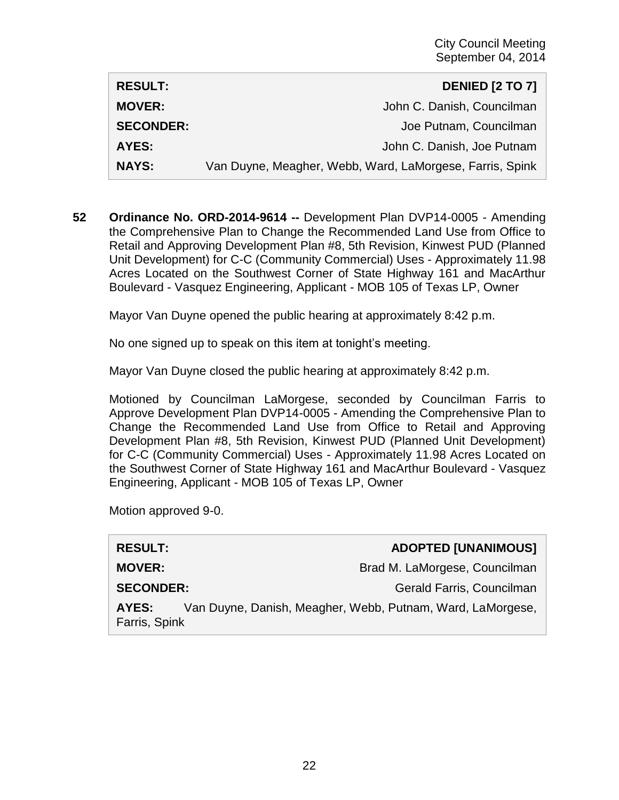| <b>RESULT:</b>   | <b>DENIED [2 TO 7]</b>                                   |
|------------------|----------------------------------------------------------|
| <b>MOVER:</b>    | John C. Danish, Councilman                               |
| <b>SECONDER:</b> | Joe Putnam, Councilman                                   |
| AYES:            | John C. Danish, Joe Putnam                               |
| <b>NAYS:</b>     | Van Duyne, Meagher, Webb, Ward, LaMorgese, Farris, Spink |

**52 Ordinance No. ORD-2014-9614 --** Development Plan DVP14-0005 - Amending the Comprehensive Plan to Change the Recommended Land Use from Office to Retail and Approving Development Plan #8, 5th Revision, Kinwest PUD (Planned Unit Development) for C-C (Community Commercial) Uses - Approximately 11.98 Acres Located on the Southwest Corner of State Highway 161 and MacArthur Boulevard - Vasquez Engineering, Applicant - MOB 105 of Texas LP, Owner

Mayor Van Duyne opened the public hearing at approximately 8:42 p.m.

No one signed up to speak on this item at tonight's meeting.

Mayor Van Duyne closed the public hearing at approximately 8:42 p.m.

Motioned by Councilman LaMorgese, seconded by Councilman Farris to Approve Development Plan DVP14-0005 - Amending the Comprehensive Plan to Change the Recommended Land Use from Office to Retail and Approving Development Plan #8, 5th Revision, Kinwest PUD (Planned Unit Development) for C-C (Community Commercial) Uses - Approximately 11.98 Acres Located on the Southwest Corner of State Highway 161 and MacArthur Boulevard - Vasquez Engineering, Applicant - MOB 105 of Texas LP, Owner

Motion approved 9-0.

| <b>RESULT:</b>         | <b>ADOPTED [UNANIMOUS]</b>                                 |
|------------------------|------------------------------------------------------------|
| <b>MOVER:</b>          | Brad M. LaMorgese, Councilman                              |
| <b>SECONDER:</b>       | Gerald Farris, Councilman                                  |
| AYES:<br>Farris, Spink | Van Duyne, Danish, Meagher, Webb, Putnam, Ward, LaMorgese, |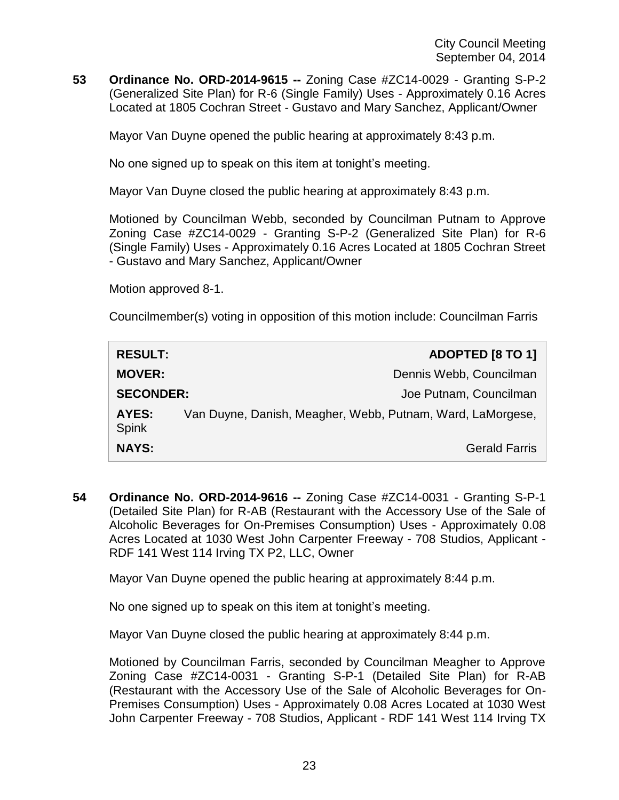**53 Ordinance No. ORD-2014-9615 --** Zoning Case #ZC14-0029 - Granting S-P-2 (Generalized Site Plan) for R-6 (Single Family) Uses - Approximately 0.16 Acres Located at 1805 Cochran Street - Gustavo and Mary Sanchez, Applicant/Owner

Mayor Van Duyne opened the public hearing at approximately 8:43 p.m.

No one signed up to speak on this item at tonight's meeting.

Mayor Van Duyne closed the public hearing at approximately 8:43 p.m.

Motioned by Councilman Webb, seconded by Councilman Putnam to Approve Zoning Case #ZC14-0029 - Granting S-P-2 (Generalized Site Plan) for R-6 (Single Family) Uses - Approximately 0.16 Acres Located at 1805 Cochran Street - Gustavo and Mary Sanchez, Applicant/Owner

Motion approved 8-1.

Councilmember(s) voting in opposition of this motion include: Councilman Farris

| <b>RESULT:</b>        | <b>ADOPTED [8 TO 1]</b>                                    |
|-----------------------|------------------------------------------------------------|
| <b>MOVER:</b>         | Dennis Webb, Councilman                                    |
| <b>SECONDER:</b>      | Joe Putnam, Councilman                                     |
| AYES:<br><b>Spink</b> | Van Duyne, Danish, Meagher, Webb, Putnam, Ward, LaMorgese, |
| <b>NAYS:</b>          | <b>Gerald Farris</b>                                       |

**54 Ordinance No. ORD-2014-9616 --** Zoning Case #ZC14-0031 - Granting S-P-1 (Detailed Site Plan) for R-AB (Restaurant with the Accessory Use of the Sale of Alcoholic Beverages for On-Premises Consumption) Uses - Approximately 0.08 Acres Located at 1030 West John Carpenter Freeway - 708 Studios, Applicant - RDF 141 West 114 Irving TX P2, LLC, Owner

Mayor Van Duyne opened the public hearing at approximately 8:44 p.m.

No one signed up to speak on this item at tonight's meeting.

Mayor Van Duyne closed the public hearing at approximately 8:44 p.m.

Motioned by Councilman Farris, seconded by Councilman Meagher to Approve Zoning Case #ZC14-0031 - Granting S-P-1 (Detailed Site Plan) for R-AB (Restaurant with the Accessory Use of the Sale of Alcoholic Beverages for On-Premises Consumption) Uses - Approximately 0.08 Acres Located at 1030 West John Carpenter Freeway - 708 Studios, Applicant - RDF 141 West 114 Irving TX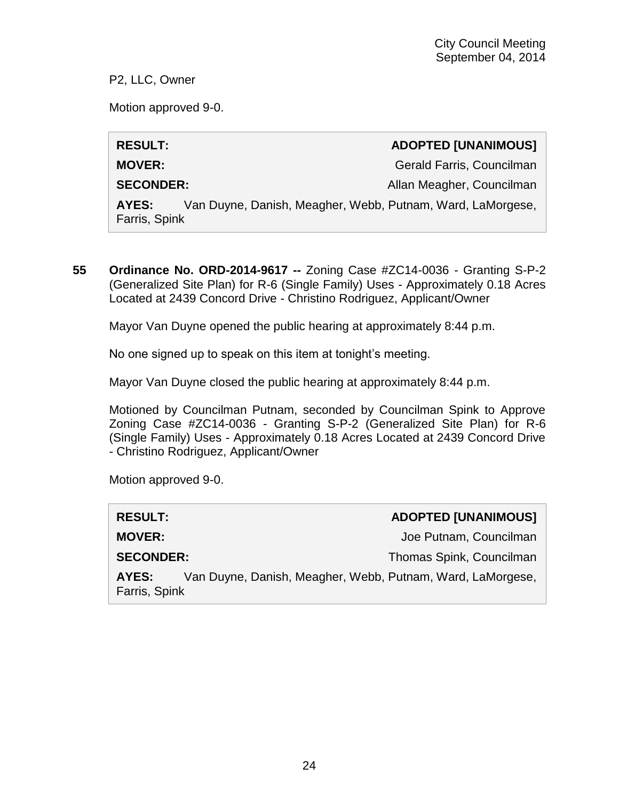P2, LLC, Owner

Motion approved 9-0.

## **RESULT: ADOPTED [UNANIMOUS]**

**MOVER:** Gerald Farris, Councilman

**SECONDER:** Allan Meagher, Councilman

**AYES:** Van Duyne, Danish, Meagher, Webb, Putnam, Ward, LaMorgese, Farris, Spink

**55 Ordinance No. ORD-2014-9617 --** Zoning Case #ZC14-0036 - Granting S-P-2 (Generalized Site Plan) for R-6 (Single Family) Uses - Approximately 0.18 Acres Located at 2439 Concord Drive - Christino Rodriguez, Applicant/Owner

Mayor Van Duyne opened the public hearing at approximately 8:44 p.m.

No one signed up to speak on this item at tonight's meeting.

Mayor Van Duyne closed the public hearing at approximately 8:44 p.m.

Motioned by Councilman Putnam, seconded by Councilman Spink to Approve Zoning Case #ZC14-0036 - Granting S-P-2 (Generalized Site Plan) for R-6 (Single Family) Uses - Approximately 0.18 Acres Located at 2439 Concord Drive - Christino Rodriguez, Applicant/Owner

Motion approved 9-0.

| <b>RESULT:</b>                                                                       | <b>ADOPTED [UNANIMOUS]</b> |
|--------------------------------------------------------------------------------------|----------------------------|
| <b>MOVER:</b>                                                                        | Joe Putnam, Councilman     |
| <b>SECONDER:</b>                                                                     | Thomas Spink, Councilman   |
| Van Duyne, Danish, Meagher, Webb, Putnam, Ward, LaMorgese,<br>AYES:<br>Farris, Spink |                            |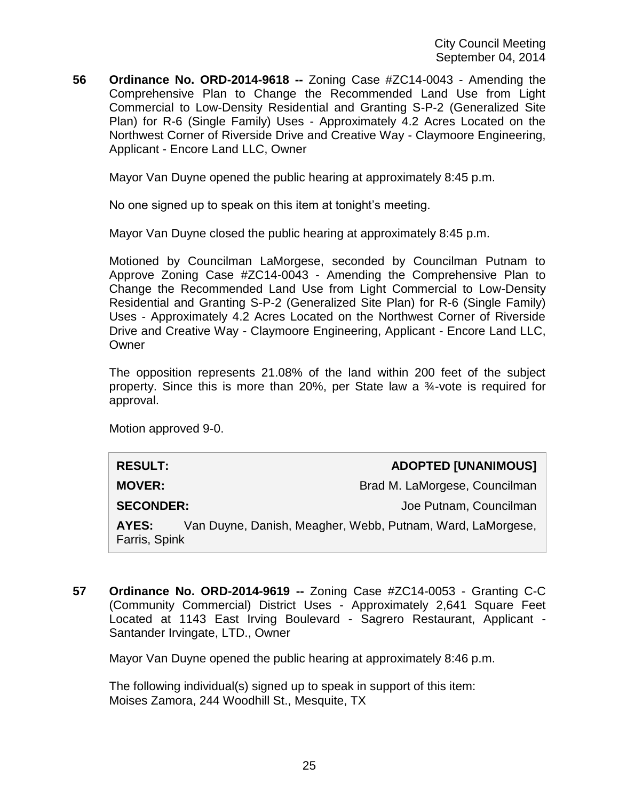**56 Ordinance No. ORD-2014-9618 --** Zoning Case #ZC14-0043 - Amending the Comprehensive Plan to Change the Recommended Land Use from Light Commercial to Low-Density Residential and Granting S-P-2 (Generalized Site Plan) for R-6 (Single Family) Uses - Approximately 4.2 Acres Located on the Northwest Corner of Riverside Drive and Creative Way - Claymoore Engineering, Applicant - Encore Land LLC, Owner

Mayor Van Duyne opened the public hearing at approximately 8:45 p.m.

No one signed up to speak on this item at tonight's meeting.

Mayor Van Duyne closed the public hearing at approximately 8:45 p.m.

Motioned by Councilman LaMorgese, seconded by Councilman Putnam to Approve Zoning Case #ZC14-0043 - Amending the Comprehensive Plan to Change the Recommended Land Use from Light Commercial to Low-Density Residential and Granting S-P-2 (Generalized Site Plan) for R-6 (Single Family) Uses - Approximately 4.2 Acres Located on the Northwest Corner of Riverside Drive and Creative Way - Claymoore Engineering, Applicant - Encore Land LLC, **Owner** 

The opposition represents 21.08% of the land within 200 feet of the subject property. Since this is more than 20%, per State law a ¾-vote is required for approval.

Motion approved 9-0.

| <b>RESULT:</b>         | <b>ADOPTED [UNANIMOUS]</b>                                 |
|------------------------|------------------------------------------------------------|
| <b>MOVER:</b>          | Brad M. LaMorgese, Councilman                              |
| <b>SECONDER:</b>       | Joe Putnam, Councilman                                     |
| AYES:<br>Farris, Spink | Van Duyne, Danish, Meagher, Webb, Putnam, Ward, LaMorgese, |

**57 Ordinance No. ORD-2014-9619 --** Zoning Case #ZC14-0053 - Granting C-C (Community Commercial) District Uses - Approximately 2,641 Square Feet Located at 1143 East Irving Boulevard - Sagrero Restaurant, Applicant - Santander Irvingate, LTD., Owner

Mayor Van Duyne opened the public hearing at approximately 8:46 p.m.

The following individual(s) signed up to speak in support of this item: Moises Zamora, 244 Woodhill St., Mesquite, TX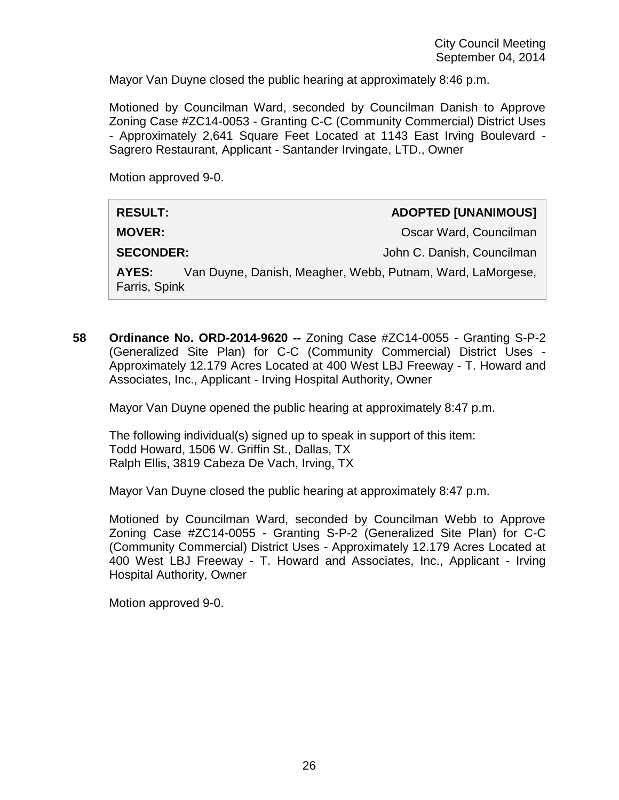Mayor Van Duyne closed the public hearing at approximately 8:46 p.m.

Motioned by Councilman Ward, seconded by Councilman Danish to Approve Zoning Case #ZC14-0053 - Granting C-C (Community Commercial) District Uses - Approximately 2,641 Square Feet Located at 1143 East Irving Boulevard - Sagrero Restaurant, Applicant - Santander Irvingate, LTD., Owner

Motion approved 9-0.

| <b>RESULT:</b>         | <b>ADOPTED [UNANIMOUS]</b>                                 |  |
|------------------------|------------------------------------------------------------|--|
| <b>MOVER:</b>          | Oscar Ward, Councilman                                     |  |
| <b>SECONDER:</b>       | John C. Danish, Councilman                                 |  |
| AYES:<br>Farris, Spink | Van Duyne, Danish, Meagher, Webb, Putnam, Ward, LaMorgese, |  |

**58 Ordinance No. ORD-2014-9620 --** Zoning Case #ZC14-0055 - Granting S-P-2 (Generalized Site Plan) for C-C (Community Commercial) District Uses - Approximately 12.179 Acres Located at 400 West LBJ Freeway - T. Howard and Associates, Inc., Applicant - Irving Hospital Authority, Owner

Mayor Van Duyne opened the public hearing at approximately 8:47 p.m.

The following individual(s) signed up to speak in support of this item: Todd Howard, 1506 W. Griffin St., Dallas, TX Ralph Ellis, 3819 Cabeza De Vach, Irving, TX

Mayor Van Duyne closed the public hearing at approximately 8:47 p.m.

Motioned by Councilman Ward, seconded by Councilman Webb to Approve Zoning Case #ZC14-0055 - Granting S-P-2 (Generalized Site Plan) for C-C (Community Commercial) District Uses - Approximately 12.179 Acres Located at 400 West LBJ Freeway - T. Howard and Associates, Inc., Applicant - Irving Hospital Authority, Owner

Motion approved 9-0.